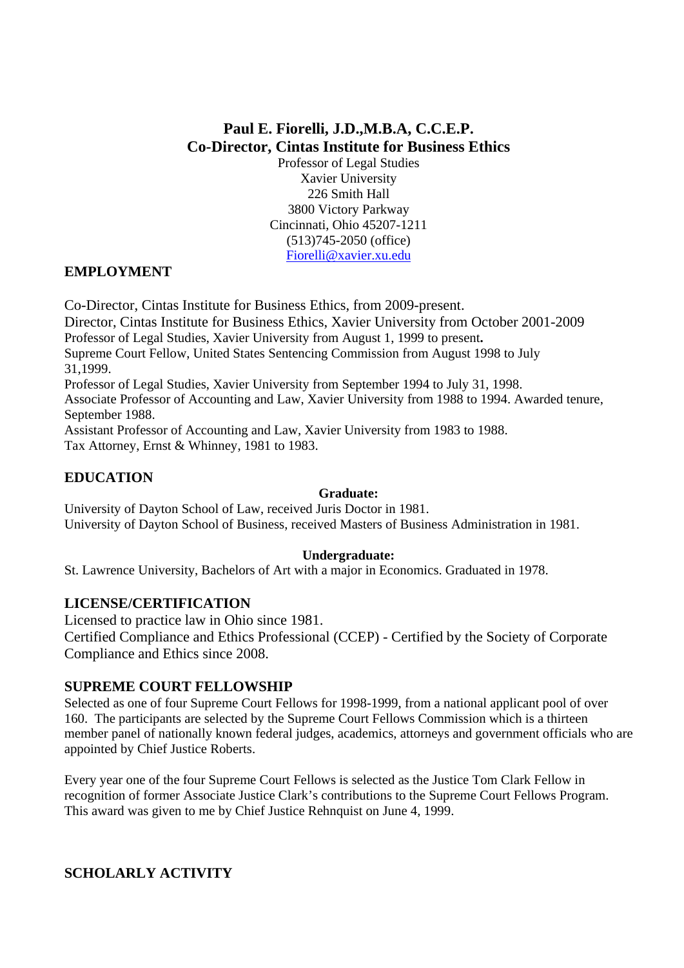# **Paul E. Fiorelli, J.D.,M.B.A, C.C.E.P. Co-Director, Cintas Institute for Business Ethics**

Professor of Legal Studies Xavier University 226 Smith Hall 3800 Victory Parkway Cincinnati, Ohio 45207-1211 (513)745-2050 (office) Fiorelli@xavier.xu.edu

## **EMPLOYMENT**

Co-Director, Cintas Institute for Business Ethics, from 2009-present.

Director, Cintas Institute for Business Ethics, Xavier University from October 2001-2009

Professor of Legal Studies, Xavier University from August 1, 1999 to present**.** 

Supreme Court Fellow, United States Sentencing Commission from August 1998 to July 31,1999.

Professor of Legal Studies, Xavier University from September 1994 to July 31, 1998.

Associate Professor of Accounting and Law, Xavier University from 1988 to 1994. Awarded tenure, September 1988.

Assistant Professor of Accounting and Law, Xavier University from 1983 to 1988. Tax Attorney, Ernst & Whinney, 1981 to 1983.

# **EDUCATION**

### **Graduate:**

University of Dayton School of Law, received Juris Doctor in 1981. University of Dayton School of Business, received Masters of Business Administration in 1981.

### **Undergraduate:**

St. Lawrence University, Bachelors of Art with a major in Economics. Graduated in 1978.

### **LICENSE/CERTIFICATION**

Licensed to practice law in Ohio since 1981. Certified Compliance and Ethics Professional (CCEP) - Certified by the Society of Corporate Compliance and Ethics since 2008.

### **SUPREME COURT FELLOWSHIP**

Selected as one of four Supreme Court Fellows for 1998-1999, from a national applicant pool of over 160. The participants are selected by the Supreme Court Fellows Commission which is a thirteen member panel of nationally known federal judges, academics, attorneys and government officials who are appointed by Chief Justice Roberts.

Every year one of the four Supreme Court Fellows is selected as the Justice Tom Clark Fellow in recognition of former Associate Justice Clark's contributions to the Supreme Court Fellows Program. This award was given to me by Chief Justice Rehnquist on June 4, 1999.

# **SCHOLARLY ACTIVITY**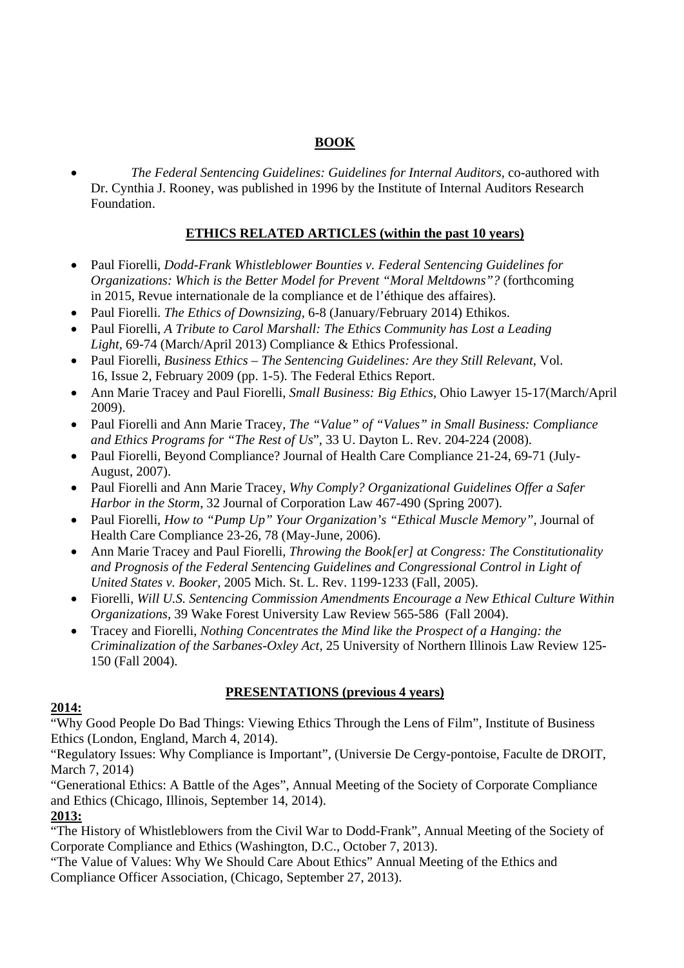## **BOOK**

 *The Federal Sentencing Guidelines: Guidelines for Internal Auditors,* co-authored with Dr. Cynthia J. Rooney, was published in 1996 by the Institute of Internal Auditors Research Foundation.

## **ETHICS RELATED ARTICLES (within the past 10 years)**

- Paul Fiorelli, *Dodd-Frank Whistleblower Bounties v. Federal Sentencing Guidelines for Organizations: Which is the Better Model for Prevent "Moral Meltdowns"?* (forthcoming in 2015, Revue internationale de la compliance et de l'éthique des affaires).
- Paul Fiorelli. *The Ethics of Downsizing,* 6-8 (January/February 2014) Ethikos.
- Paul Fiorelli, *A Tribute to Carol Marshall: The Ethics Community has Lost a Leading Light,* 69-74 (March/April 2013) Compliance & Ethics Professional.
- Paul Fiorelli, *Business Ethics The Sentencing Guidelines: Are they Still Relevant*, Vol. 16, Issue 2, February 2009 (pp. 1-5). The Federal Ethics Report.
- Ann Marie Tracey and Paul Fiorelli, *Small Business: Big Ethics*, Ohio Lawyer 15-17(March/April 2009).
- Paul Fiorelli and Ann Marie Tracey, *The "Value" of "Values" in Small Business: Compliance and Ethics Programs for "The Rest of Us*", 33 U. Dayton L. Rev. 204-224 (2008).
- Paul Fiorelli, Beyond Compliance? Journal of Health Care Compliance 21-24, 69-71 (July-August, 2007).
- Paul Fiorelli and Ann Marie Tracey, *Why Comply? Organizational Guidelines Offer a Safer Harbor in the Storm*, 32 Journal of Corporation Law 467-490 (Spring 2007).
- Paul Fiorelli, *How to "Pump Up" Your Organization's "Ethical Muscle Memory"*, Journal of Health Care Compliance 23-26, 78 (May-June, 2006).
- Ann Marie Tracey and Paul Fiorelli, *Throwing the Book[er] at Congress: The Constitutionality and Prognosis of the Federal Sentencing Guidelines and Congressional Control in Light of United States v. Booker,* 2005 Mich. St. L. Rev. 1199-1233 (Fall, 2005).
- Fiorelli, *Will U.S. Sentencing Commission Amendments Encourage a New Ethical Culture Within Organizations,* 39 Wake Forest University Law Review 565-586 (Fall 2004).
- Tracey and Fiorelli, *Nothing Concentrates the Mind like the Prospect of a Hanging: the Criminalization of the Sarbanes-Oxley Act,* 25 University of Northern Illinois Law Review 125- 150 (Fall 2004).

# **PRESENTATIONS (previous 4 years)**

### **2014:**

"Why Good People Do Bad Things: Viewing Ethics Through the Lens of Film", Institute of Business Ethics (London, England, March 4, 2014).

"Regulatory Issues: Why Compliance is Important", (Universie De Cergy-pontoise, Faculte de DROIT, March 7, 2014)

"Generational Ethics: A Battle of the Ages", Annual Meeting of the Society of Corporate Compliance and Ethics (Chicago, Illinois, September 14, 2014).

### **2013:**

"The History of Whistleblowers from the Civil War to Dodd-Frank", Annual Meeting of the Society of Corporate Compliance and Ethics (Washington, D.C., October 7, 2013).

"The Value of Values: Why We Should Care About Ethics" Annual Meeting of the Ethics and Compliance Officer Association, (Chicago, September 27, 2013).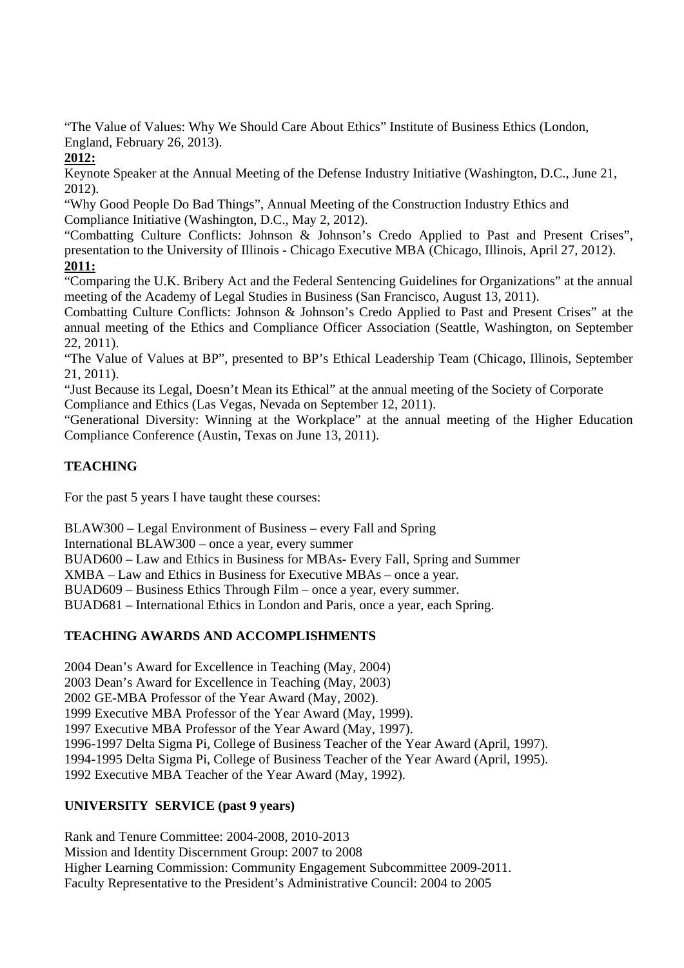"The Value of Values: Why We Should Care About Ethics" Institute of Business Ethics (London, England, February 26, 2013).

## **2012:**

Keynote Speaker at the Annual Meeting of the Defense Industry Initiative (Washington, D.C., June 21, 2012).

"Why Good People Do Bad Things", Annual Meeting of the Construction Industry Ethics and Compliance Initiative (Washington, D.C., May 2, 2012).

"Combatting Culture Conflicts: Johnson & Johnson's Credo Applied to Past and Present Crises", presentation to the University of Illinois - Chicago Executive MBA (Chicago, Illinois, April 27, 2012). **2011:**

"Comparing the U.K. Bribery Act and the Federal Sentencing Guidelines for Organizations" at the annual meeting of the Academy of Legal Studies in Business (San Francisco, August 13, 2011).

Combatting Culture Conflicts: Johnson & Johnson's Credo Applied to Past and Present Crises" at the annual meeting of the Ethics and Compliance Officer Association (Seattle, Washington, on September 22, 2011).

"The Value of Values at BP", presented to BP's Ethical Leadership Team (Chicago, Illinois, September 21, 2011).

"Just Because its Legal, Doesn't Mean its Ethical" at the annual meeting of the Society of Corporate Compliance and Ethics (Las Vegas, Nevada on September 12, 2011).

"Generational Diversity: Winning at the Workplace" at the annual meeting of the Higher Education Compliance Conference (Austin, Texas on June 13, 2011).

# **TEACHING**

For the past 5 years I have taught these courses:

BLAW300 – Legal Environment of Business – every Fall and Spring

International BLAW300 – once a year, every summer

BUAD600 – Law and Ethics in Business for MBAs- Every Fall, Spring and Summer

XMBA – Law and Ethics in Business for Executive MBAs – once a year.

BUAD609 – Business Ethics Through Film – once a year, every summer.

BUAD681 – International Ethics in London and Paris, once a year, each Spring.

# **TEACHING AWARDS AND ACCOMPLISHMENTS**

2004 Dean's Award for Excellence in Teaching (May, 2004)

2003 Dean's Award for Excellence in Teaching (May, 2003)

2002 GE-MBA Professor of the Year Award (May, 2002).

1999 Executive MBA Professor of the Year Award (May, 1999).

1997 Executive MBA Professor of the Year Award (May, 1997).

1996-1997 Delta Sigma Pi, College of Business Teacher of the Year Award (April, 1997).

1994-1995 Delta Sigma Pi, College of Business Teacher of the Year Award (April, 1995).

1992 Executive MBA Teacher of the Year Award (May, 1992).

# **UNIVERSITY SERVICE (past 9 years)**

Rank and Tenure Committee: 2004-2008, 2010-2013 Mission and Identity Discernment Group: 2007 to 2008 Higher Learning Commission: Community Engagement Subcommittee 2009-2011. Faculty Representative to the President's Administrative Council: 2004 to 2005